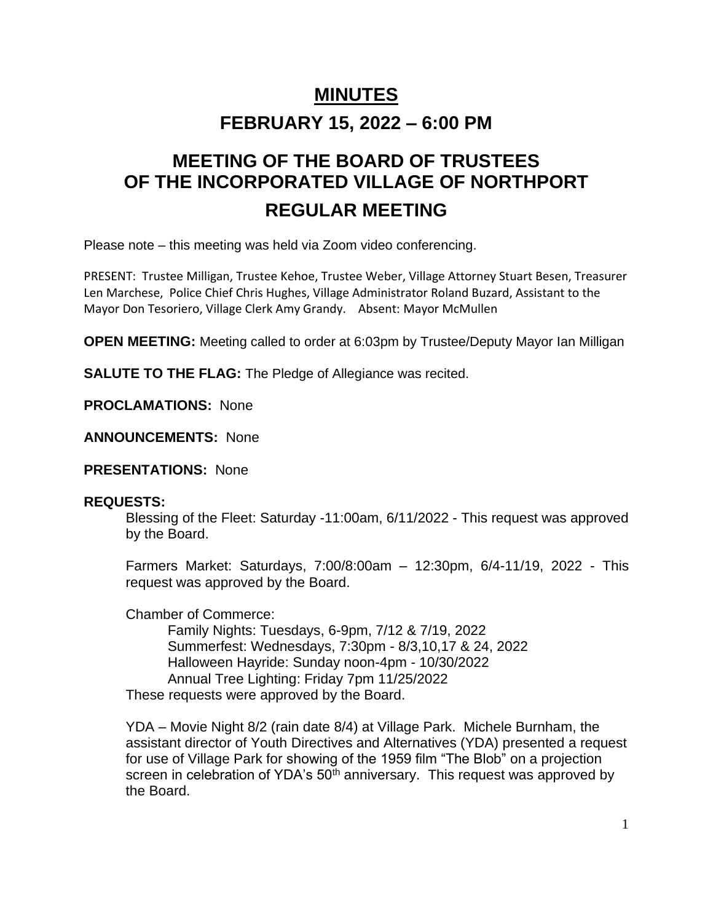# **MINUTES**

# **FEBRUARY 15, 2022 – 6:00 PM**

# **MEETING OF THE BOARD OF TRUSTEES OF THE INCORPORATED VILLAGE OF NORTHPORT REGULAR MEETING**

Please note – this meeting was held via Zoom video conferencing.

PRESENT: Trustee Milligan, Trustee Kehoe, Trustee Weber, Village Attorney Stuart Besen, Treasurer Len Marchese, Police Chief Chris Hughes, Village Administrator Roland Buzard, Assistant to the Mayor Don Tesoriero, Village Clerk Amy Grandy. Absent: Mayor McMullen

**OPEN MEETING:** Meeting called to order at 6:03pm by Trustee/Deputy Mayor Ian Milligan

**SALUTE TO THE FLAG:** The Pledge of Allegiance was recited.

**PROCLAMATIONS:** None

**ANNOUNCEMENTS:** None

**PRESENTATIONS:** None

### **REQUESTS:**

Blessing of the Fleet: Saturday -11:00am, 6/11/2022 - This request was approved by the Board.

Farmers Market: Saturdays, 7:00/8:00am – 12:30pm, 6/4-11/19, 2022 - This request was approved by the Board.

Chamber of Commerce:

Family Nights: Tuesdays, 6-9pm, 7/12 & 7/19, 2022 Summerfest: Wednesdays, 7:30pm - 8/3,10,17 & 24, 2022 Halloween Hayride: Sunday noon-4pm - 10/30/2022 Annual Tree Lighting: Friday 7pm 11/25/2022 These requests were approved by the Board.

YDA – Movie Night 8/2 (rain date 8/4) at Village Park. Michele Burnham, the assistant director of Youth Directives and Alternatives (YDA) presented a request for use of Village Park for showing of the 1959 film "The Blob" on a projection screen in celebration of YDA's  $50<sup>th</sup>$  anniversary. This request was approved by the Board.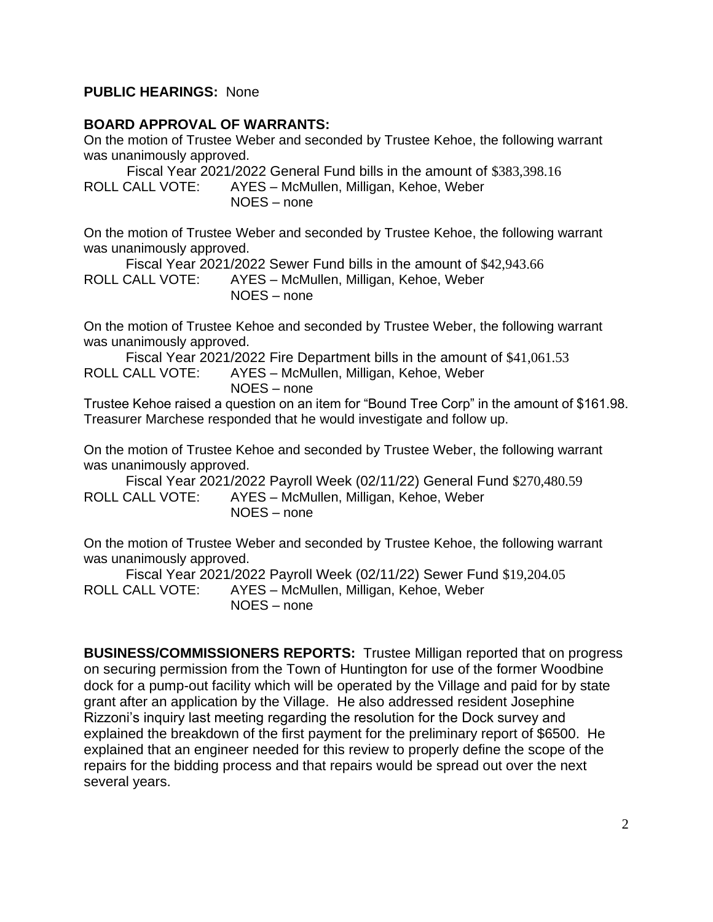#### **PUBLIC HEARINGS:** None

#### **BOARD APPROVAL OF WARRANTS:**

On the motion of Trustee Weber and seconded by Trustee Kehoe, the following warrant was unanimously approved.

 Fiscal Year 2021/2022 General Fund bills in the amount of \$383,398.16 ROLL CALL VOTE: AYES – McMullen, Milligan, Kehoe, Weber NOES – none

On the motion of Trustee Weber and seconded by Trustee Kehoe, the following warrant was unanimously approved.

Fiscal Year 2021/2022 Sewer Fund bills in the amount of \$42,943.66 ROLL CALL VOTE: AYES – McMullen, Milligan, Kehoe, Weber NOES – none

On the motion of Trustee Kehoe and seconded by Trustee Weber, the following warrant was unanimously approved.

Fiscal Year 2021/2022 Fire Department bills in the amount of \$41,061.53 ROLL CALL VOTE: AYES – McMullen, Milligan, Kehoe, Weber NOES – none

Trustee Kehoe raised a question on an item for "Bound Tree Corp" in the amount of \$161.98. Treasurer Marchese responded that he would investigate and follow up.

On the motion of Trustee Kehoe and seconded by Trustee Weber, the following warrant was unanimously approved.

Fiscal Year 2021/2022 Payroll Week (02/11/22) General Fund \$270,480.59 ROLL CALL VOTE: AYES – McMullen, Milligan, Kehoe, Weber NOES – none

On the motion of Trustee Weber and seconded by Trustee Kehoe, the following warrant was unanimously approved.

Fiscal Year 2021/2022 Payroll Week (02/11/22) Sewer Fund \$19,204.05 ROLL CALL VOTE: AYES – McMullen, Milligan, Kehoe, Weber NOES – none

**BUSINESS/COMMISSIONERS REPORTS:** Trustee Milligan reported that on progress on securing permission from the Town of Huntington for use of the former Woodbine dock for a pump-out facility which will be operated by the Village and paid for by state grant after an application by the Village. He also addressed resident Josephine Rizzoni's inquiry last meeting regarding the resolution for the Dock survey and explained the breakdown of the first payment for the preliminary report of \$6500. He explained that an engineer needed for this review to properly define the scope of the repairs for the bidding process and that repairs would be spread out over the next several years.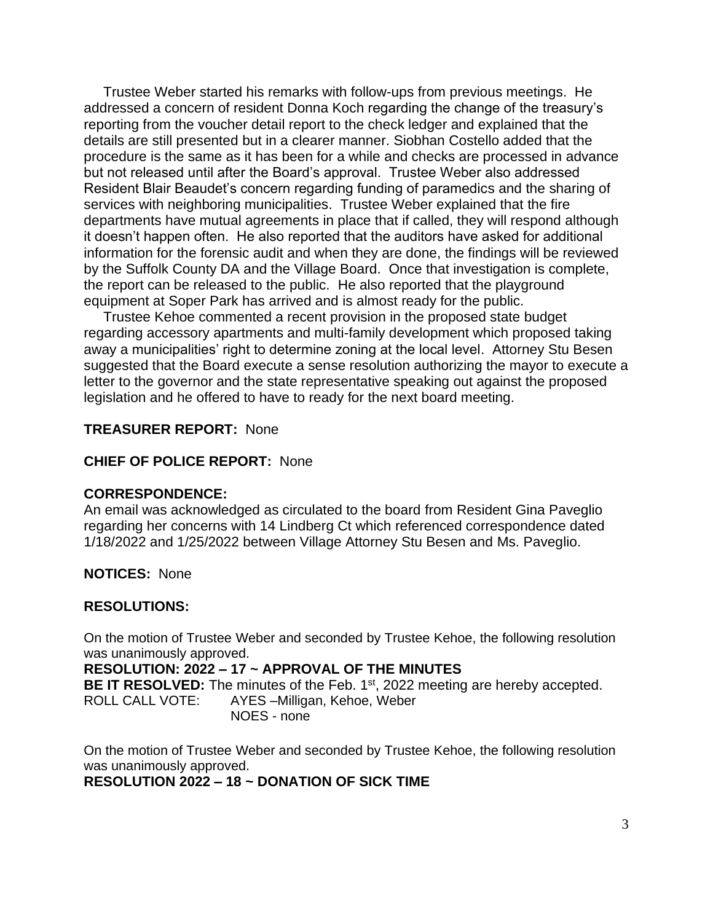Trustee Weber started his remarks with follow-ups from previous meetings. He addressed a concern of resident Donna Koch regarding the change of the treasury's reporting from the voucher detail report to the check ledger and explained that the details are still presented but in a clearer manner. Siobhan Costello added that the procedure is the same as it has been for a while and checks are processed in advance but not released until after the Board's approval. Trustee Weber also addressed Resident Blair Beaudet's concern regarding funding of paramedics and the sharing of services with neighboring municipalities. Trustee Weber explained that the fire departments have mutual agreements in place that if called, they will respond although it doesn't happen often. He also reported that the auditors have asked for additional information for the forensic audit and when they are done, the findings will be reviewed by the Suffolk County DA and the Village Board. Once that investigation is complete, the report can be released to the public. He also reported that the playground equipment at Soper Park has arrived and is almost ready for the public.

 Trustee Kehoe commented a recent provision in the proposed state budget regarding accessory apartments and multi-family development which proposed taking away a municipalities' right to determine zoning at the local level. Attorney Stu Besen suggested that the Board execute a sense resolution authorizing the mayor to execute a letter to the governor and the state representative speaking out against the proposed legislation and he offered to have to ready for the next board meeting.

#### **TREASURER REPORT:** None

#### **CHIEF OF POLICE REPORT:** None

#### **CORRESPONDENCE:**

An email was acknowledged as circulated to the board from Resident Gina Paveglio regarding her concerns with 14 Lindberg Ct which referenced correspondence dated 1/18/2022 and 1/25/2022 between Village Attorney Stu Besen and Ms. Paveglio.

**NOTICES:** None

#### **RESOLUTIONS:**

On the motion of Trustee Weber and seconded by Trustee Kehoe, the following resolution was unanimously approved.

**RESOLUTION: 2022 – 17 ~ APPROVAL OF THE MINUTES** BE IT RESOLVED: The minutes of the Feb. 1<sup>st</sup>, 2022 meeting are hereby accepted. ROLL CALL VOTE: AYES –Milligan, Kehoe, Weber NOES - none

On the motion of Trustee Weber and seconded by Trustee Kehoe, the following resolution was unanimously approved. **RESOLUTION 2022 – 18 ~ DONATION OF SICK TIME**

3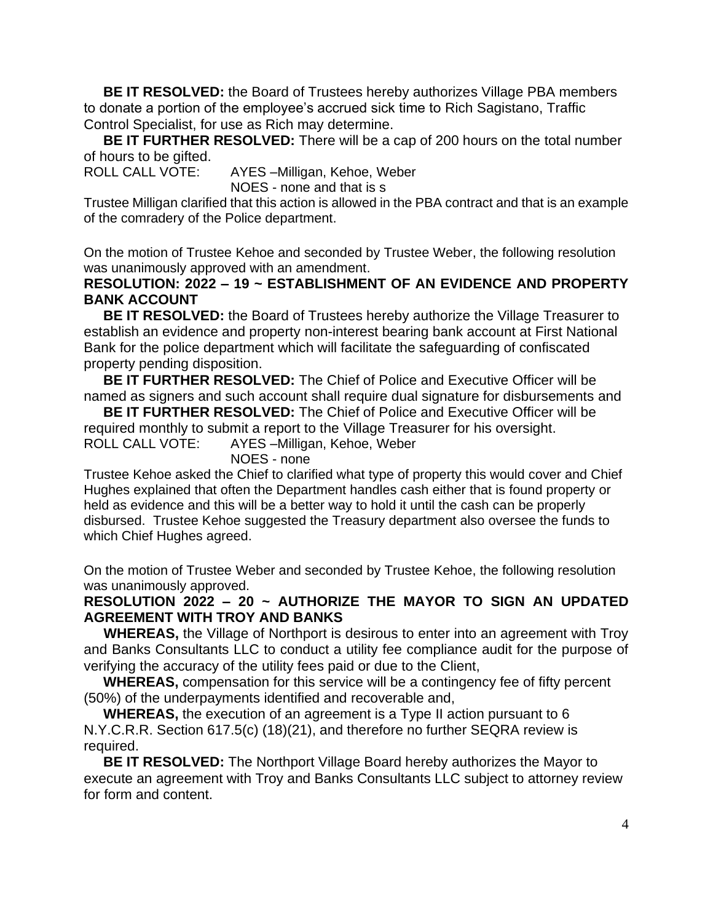**BE IT RESOLVED:** the Board of Trustees hereby authorizes Village PBA members to donate a portion of the employee's accrued sick time to Rich Sagistano, Traffic Control Specialist, for use as Rich may determine.

 **BE IT FURTHER RESOLVED:** There will be a cap of 200 hours on the total number of hours to be gifted.

ROLL CALL VOTE: AYES –Milligan, Kehoe, Weber NOES - none and that is s

Trustee Milligan clarified that this action is allowed in the PBA contract and that is an example of the comradery of the Police department.

On the motion of Trustee Kehoe and seconded by Trustee Weber, the following resolution was unanimously approved with an amendment.

### **RESOLUTION: 2022 – 19 ~ ESTABLISHMENT OF AN EVIDENCE AND PROPERTY BANK ACCOUNT**

 **BE IT RESOLVED:** the Board of Trustees hereby authorize the Village Treasurer to establish an evidence and property non-interest bearing bank account at First National Bank for the police department which will facilitate the safeguarding of confiscated property pending disposition.

 **BE IT FURTHER RESOLVED:** The Chief of Police and Executive Officer will be named as signers and such account shall require dual signature for disbursements and

 **BE IT FURTHER RESOLVED:** The Chief of Police and Executive Officer will be required monthly to submit a report to the Village Treasurer for his oversight. ROLL CALL VOTE: AYES –Milligan, Kehoe, Weber

NOES - none

Trustee Kehoe asked the Chief to clarified what type of property this would cover and Chief Hughes explained that often the Department handles cash either that is found property or held as evidence and this will be a better way to hold it until the cash can be properly disbursed. Trustee Kehoe suggested the Treasury department also oversee the funds to which Chief Hughes agreed.

On the motion of Trustee Weber and seconded by Trustee Kehoe, the following resolution was unanimously approved.

## **RESOLUTION 2022 – 20 ~ AUTHORIZE THE MAYOR TO SIGN AN UPDATED AGREEMENT WITH TROY AND BANKS**

 **WHEREAS,** the Village of Northport is desirous to enter into an agreement with Troy and Banks Consultants LLC to conduct a utility fee compliance audit for the purpose of verifying the accuracy of the utility fees paid or due to the Client,

 **WHEREAS,** compensation for this service will be a contingency fee of fifty percent (50%) of the underpayments identified and recoverable and,

 **WHEREAS,** the execution of an agreement is a Type II action pursuant to 6 N.Y.C.R.R. Section 617.5(c) (18)(21), and therefore no further SEQRA review is required.

 **BE IT RESOLVED:** The Northport Village Board hereby authorizes the Mayor to execute an agreement with Troy and Banks Consultants LLC subject to attorney review for form and content.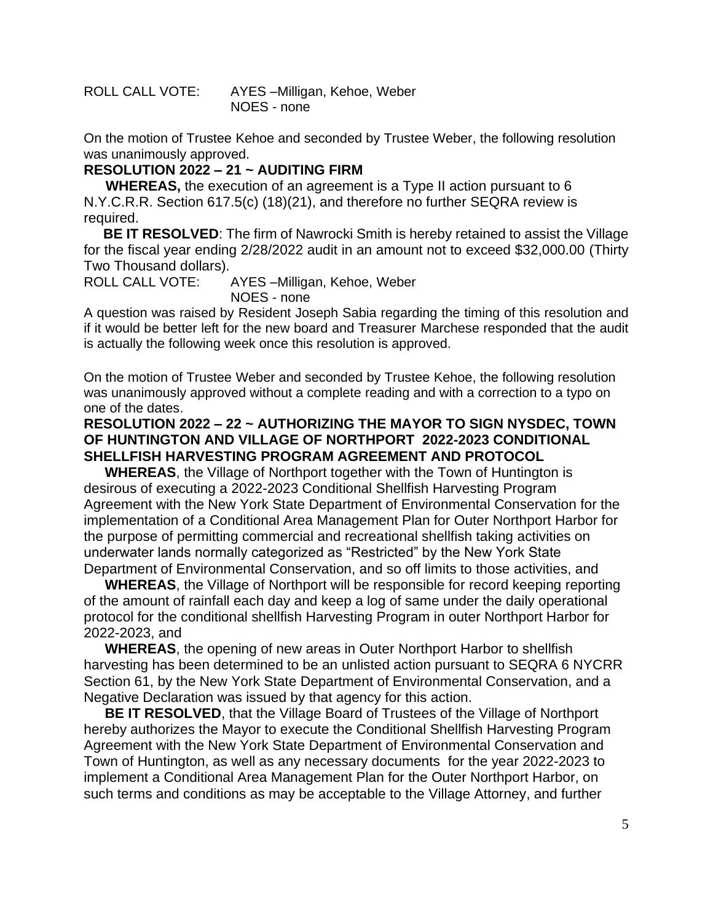ROLL CALL VOTE: AYES –Milligan, Kehoe, Weber NOES - none

On the motion of Trustee Kehoe and seconded by Trustee Weber, the following resolution was unanimously approved.

### **RESOLUTION 2022 – 21 ~ AUDITING FIRM**

 **WHEREAS,** the execution of an agreement is a Type II action pursuant to 6 N.Y.C.R.R. Section 617.5(c) (18)(21), and therefore no further SEQRA review is required.

 **BE IT RESOLVED**: The firm of Nawrocki Smith is hereby retained to assist the Village for the fiscal year ending 2/28/2022 audit in an amount not to exceed \$32,000.00 (Thirty Two Thousand dollars).

ROLL CALL VOTE: AYES –Milligan, Kehoe, Weber NOES - none

A question was raised by Resident Joseph Sabia regarding the timing of this resolution and if it would be better left for the new board and Treasurer Marchese responded that the audit is actually the following week once this resolution is approved.

On the motion of Trustee Weber and seconded by Trustee Kehoe, the following resolution was unanimously approved without a complete reading and with a correction to a typo on one of the dates.

### **RESOLUTION 2022 – 22 ~ AUTHORIZING THE MAYOR TO SIGN NYSDEC, TOWN OF HUNTINGTON AND VILLAGE OF NORTHPORT 2022-2023 CONDITIONAL SHELLFISH HARVESTING PROGRAM AGREEMENT AND PROTOCOL**

**WHEREAS**, the Village of Northport together with the Town of Huntington is desirous of executing a 2022-2023 Conditional Shellfish Harvesting Program Agreement with the New York State Department of Environmental Conservation for the implementation of a Conditional Area Management Plan for Outer Northport Harbor for the purpose of permitting commercial and recreational shellfish taking activities on underwater lands normally categorized as "Restricted" by the New York State Department of Environmental Conservation, and so off limits to those activities, and

**WHEREAS**, the Village of Northport will be responsible for record keeping reporting of the amount of rainfall each day and keep a log of same under the daily operational protocol for the conditional shellfish Harvesting Program in outer Northport Harbor for 2022-2023, and

**WHEREAS**, the opening of new areas in Outer Northport Harbor to shellfish harvesting has been determined to be an unlisted action pursuant to SEQRA 6 NYCRR Section 61, by the New York State Department of Environmental Conservation, and a Negative Declaration was issued by that agency for this action.

**BE IT RESOLVED**, that the Village Board of Trustees of the Village of Northport hereby authorizes the Mayor to execute the Conditional Shellfish Harvesting Program Agreement with the New York State Department of Environmental Conservation and Town of Huntington, as well as any necessary documents for the year 2022-2023 to implement a Conditional Area Management Plan for the Outer Northport Harbor, on such terms and conditions as may be acceptable to the Village Attorney, and further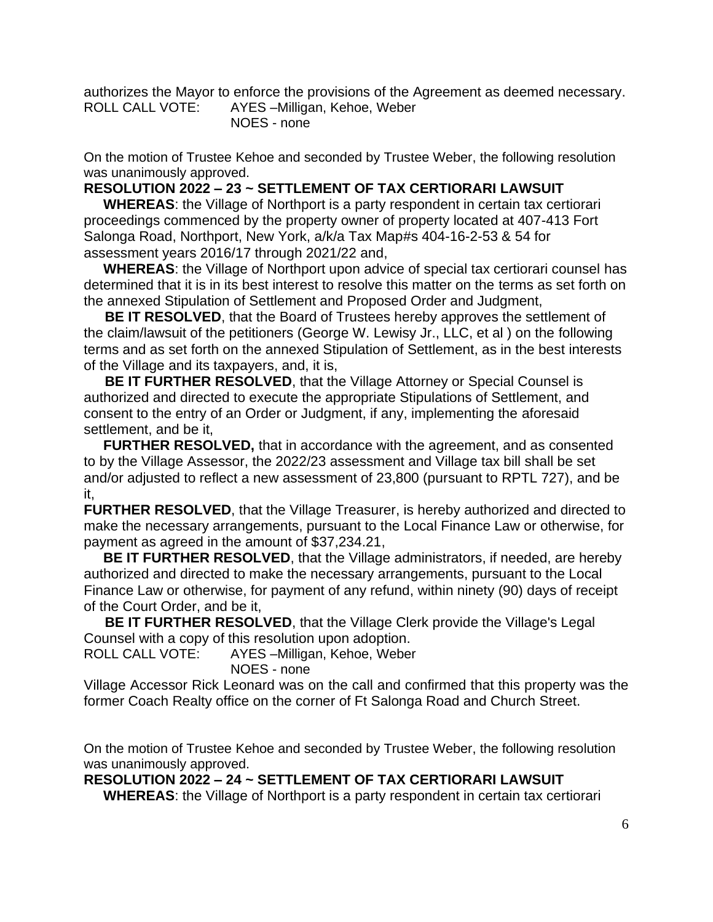authorizes the Mayor to enforce the provisions of the Agreement as deemed necessary. ROLL CALL VOTE: AYES –Milligan, Kehoe, Weber NOES - none

On the motion of Trustee Kehoe and seconded by Trustee Weber, the following resolution was unanimously approved.

### **RESOLUTION 2022 – 23 ~ SETTLEMENT OF TAX CERTIORARI LAWSUIT**

 **WHEREAS**: the Village of Northport is a party respondent in certain tax certiorari proceedings commenced by the property owner of property located at 407-413 Fort Salonga Road, Northport, New York, a/k/a Tax Map#s 404-16-2-53 & 54 for assessment years 2016/17 through 2021/22 and,

 **WHEREAS**: the Village of Northport upon advice of special tax certiorari counsel has determined that it is in its best interest to resolve this matter on the terms as set forth on the annexed Stipulation of Settlement and Proposed Order and Judgment,

**BE IT RESOLVED**, that the Board of Trustees hereby approves the settlement of the claim/lawsuit of the petitioners (George W. Lewisy Jr., LLC, et al ) on the following terms and as set forth on the annexed Stipulation of Settlement, as in the best interests of the Village and its taxpayers, and, it is,

**BE IT FURTHER RESOLVED**, that the Village Attorney or Special Counsel is authorized and directed to execute the appropriate Stipulations of Settlement, and consent to the entry of an Order or Judgment, if any, implementing the aforesaid settlement, and be it,

 **FURTHER RESOLVED,** that in accordance with the agreement, and as consented to by the Village Assessor, the 2022/23 assessment and Village tax bill shall be set and/or adjusted to reflect a new assessment of 23,800 (pursuant to RPTL 727), and be it,

**FURTHER RESOLVED**, that the Village Treasurer, is hereby authorized and directed to make the necessary arrangements, pursuant to the Local Finance Law or otherwise, for payment as agreed in the amount of \$37,234.21,

 **BE IT FURTHER RESOLVED**, that the Village administrators, if needed, are hereby authorized and directed to make the necessary arrangements, pursuant to the Local Finance Law or otherwise, for payment of any refund, within ninety (90) days of receipt of the Court Order, and be it,

**BE IT FURTHER RESOLVED**, that the Village Clerk provide the Village's Legal Counsel with a copy of this resolution upon adoption.

ROLL CALL VOTE: AYES –Milligan, Kehoe, Weber NOES - none

Village Accessor Rick Leonard was on the call and confirmed that this property was the former Coach Realty office on the corner of Ft Salonga Road and Church Street.

On the motion of Trustee Kehoe and seconded by Trustee Weber, the following resolution was unanimously approved.

**RESOLUTION 2022 – 24 ~ SETTLEMENT OF TAX CERTIORARI LAWSUIT**

 **WHEREAS**: the Village of Northport is a party respondent in certain tax certiorari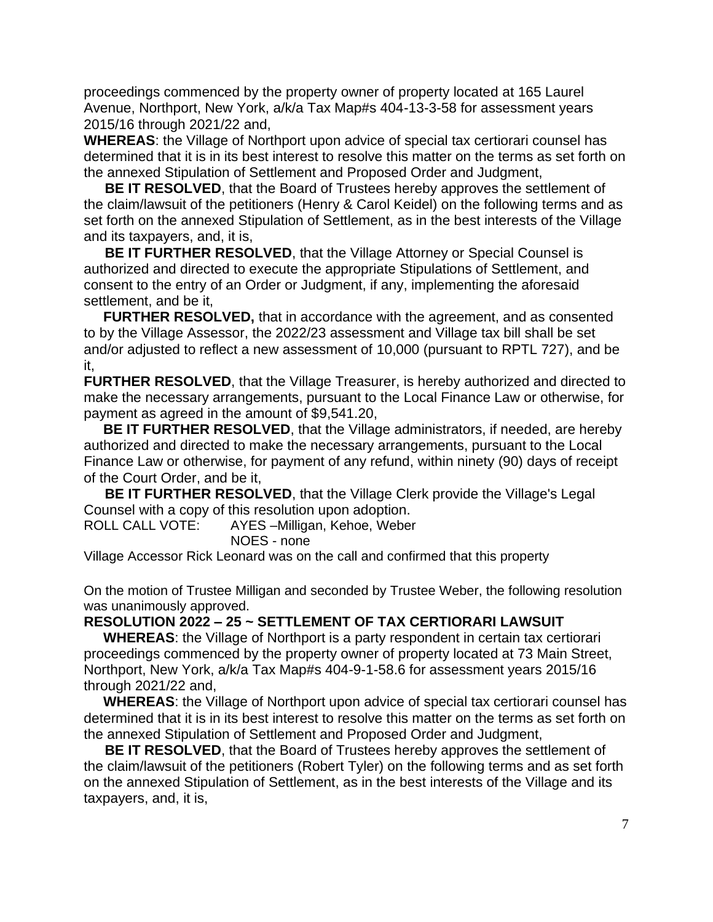proceedings commenced by the property owner of property located at 165 Laurel Avenue, Northport, New York, a/k/a Tax Map#s 404-13-3-58 for assessment years 2015/16 through 2021/22 and,

**WHEREAS**: the Village of Northport upon advice of special tax certiorari counsel has determined that it is in its best interest to resolve this matter on the terms as set forth on the annexed Stipulation of Settlement and Proposed Order and Judgment,

**BE IT RESOLVED**, that the Board of Trustees hereby approves the settlement of the claim/lawsuit of the petitioners (Henry & Carol Keidel) on the following terms and as set forth on the annexed Stipulation of Settlement, as in the best interests of the Village and its taxpayers, and, it is,

**BE IT FURTHER RESOLVED**, that the Village Attorney or Special Counsel is authorized and directed to execute the appropriate Stipulations of Settlement, and consent to the entry of an Order or Judgment, if any, implementing the aforesaid settlement, and be it,

 **FURTHER RESOLVED,** that in accordance with the agreement, and as consented to by the Village Assessor, the 2022/23 assessment and Village tax bill shall be set and/or adjusted to reflect a new assessment of 10,000 (pursuant to RPTL 727), and be it,

**FURTHER RESOLVED, that the Village Treasurer, is hereby authorized and directed to** make the necessary arrangements, pursuant to the Local Finance Law or otherwise, for payment as agreed in the amount of \$9,541.20,

 **BE IT FURTHER RESOLVED**, that the Village administrators, if needed, are hereby authorized and directed to make the necessary arrangements, pursuant to the Local Finance Law or otherwise, for payment of any refund, within ninety (90) days of receipt of the Court Order, and be it,

**BE IT FURTHER RESOLVED, that the Village Clerk provide the Village's Legal** Counsel with a copy of this resolution upon adoption.

ROLL CALL VOTE: AYES –Milligan, Kehoe, Weber NOES - none

Village Accessor Rick Leonard was on the call and confirmed that this property

On the motion of Trustee Milligan and seconded by Trustee Weber, the following resolution was unanimously approved.

#### **RESOLUTION 2022 – 25 ~ SETTLEMENT OF TAX CERTIORARI LAWSUIT**

 **WHEREAS**: the Village of Northport is a party respondent in certain tax certiorari proceedings commenced by the property owner of property located at 73 Main Street, Northport, New York, a/k/a Tax Map#s 404-9-1-58.6 for assessment years 2015/16 through 2021/22 and,

 **WHEREAS**: the Village of Northport upon advice of special tax certiorari counsel has determined that it is in its best interest to resolve this matter on the terms as set forth on the annexed Stipulation of Settlement and Proposed Order and Judgment,

**BE IT RESOLVED**, that the Board of Trustees hereby approves the settlement of the claim/lawsuit of the petitioners (Robert Tyler) on the following terms and as set forth on the annexed Stipulation of Settlement, as in the best interests of the Village and its taxpayers, and, it is,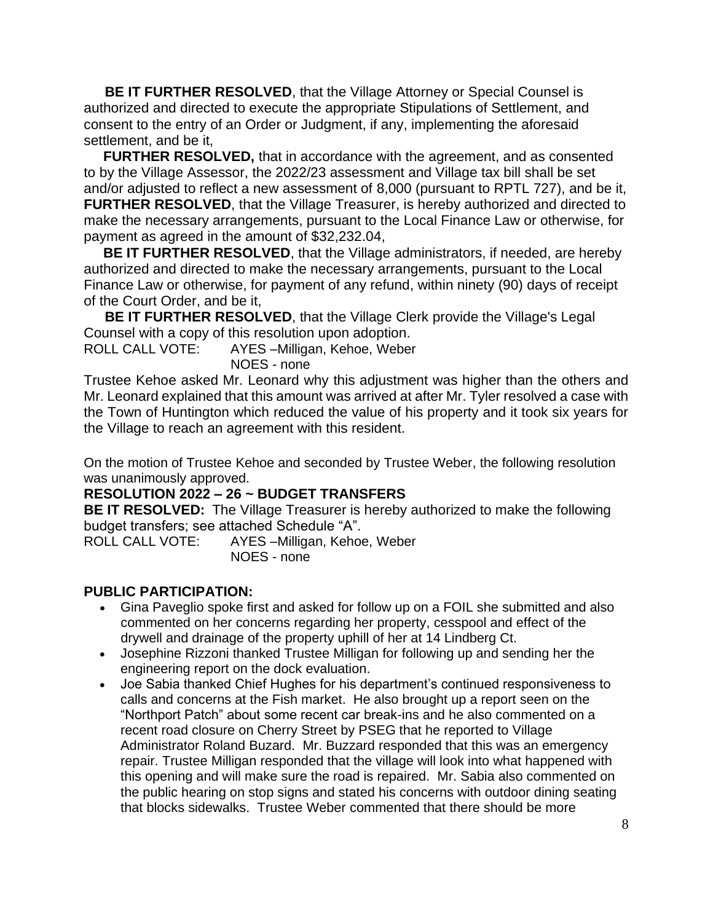**BE IT FURTHER RESOLVED**, that the Village Attorney or Special Counsel is authorized and directed to execute the appropriate Stipulations of Settlement, and consent to the entry of an Order or Judgment, if any, implementing the aforesaid settlement, and be it,

 **FURTHER RESOLVED,** that in accordance with the agreement, and as consented to by the Village Assessor, the 2022/23 assessment and Village tax bill shall be set and/or adjusted to reflect a new assessment of 8,000 (pursuant to RPTL 727), and be it, **FURTHER RESOLVED**, that the Village Treasurer, is hereby authorized and directed to make the necessary arrangements, pursuant to the Local Finance Law or otherwise, for payment as agreed in the amount of \$32,232.04,

 **BE IT FURTHER RESOLVED**, that the Village administrators, if needed, are hereby authorized and directed to make the necessary arrangements, pursuant to the Local Finance Law or otherwise, for payment of any refund, within ninety (90) days of receipt of the Court Order, and be it,

**BE IT FURTHER RESOLVED, that the Village Clerk provide the Village's Legal** Counsel with a copy of this resolution upon adoption.

ROLL CALL VOTE: AYES –Milligan, Kehoe, Weber NOES - none

Trustee Kehoe asked Mr. Leonard why this adjustment was higher than the others and Mr. Leonard explained that this amount was arrived at after Mr. Tyler resolved a case with the Town of Huntington which reduced the value of his property and it took six years for the Village to reach an agreement with this resident.

On the motion of Trustee Kehoe and seconded by Trustee Weber, the following resolution was unanimously approved.

# **RESOLUTION 2022 – 26 ~ BUDGET TRANSFERS**

**BE IT RESOLVED:** The Village Treasurer is hereby authorized to make the following budget transfers; see attached Schedule "A".

ROLL CALL VOTE: AYES –Milligan, Kehoe, Weber NOES - none

#### **PUBLIC PARTICIPATION:**

- Gina Paveglio spoke first and asked for follow up on a FOIL she submitted and also commented on her concerns regarding her property, cesspool and effect of the drywell and drainage of the property uphill of her at 14 Lindberg Ct.
- Josephine Rizzoni thanked Trustee Milligan for following up and sending her the engineering report on the dock evaluation.
- Joe Sabia thanked Chief Hughes for his department's continued responsiveness to calls and concerns at the Fish market. He also brought up a report seen on the "Northport Patch" about some recent car break-ins and he also commented on a recent road closure on Cherry Street by PSEG that he reported to Village Administrator Roland Buzard. Mr. Buzzard responded that this was an emergency repair. Trustee Milligan responded that the village will look into what happened with this opening and will make sure the road is repaired. Mr. Sabia also commented on the public hearing on stop signs and stated his concerns with outdoor dining seating that blocks sidewalks. Trustee Weber commented that there should be more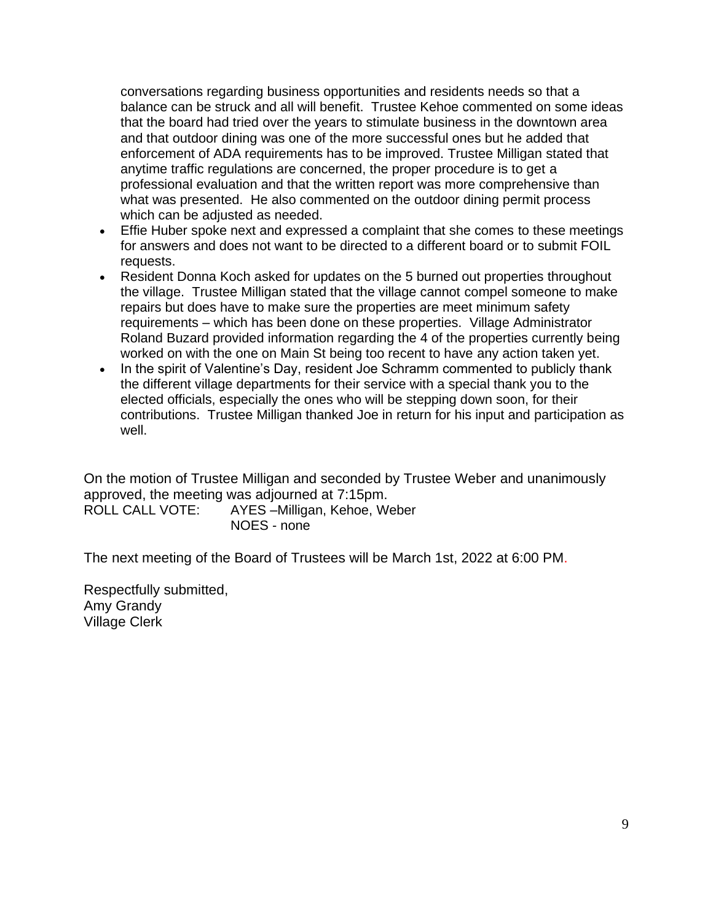conversations regarding business opportunities and residents needs so that a balance can be struck and all will benefit. Trustee Kehoe commented on some ideas that the board had tried over the years to stimulate business in the downtown area and that outdoor dining was one of the more successful ones but he added that enforcement of ADA requirements has to be improved. Trustee Milligan stated that anytime traffic regulations are concerned, the proper procedure is to get a professional evaluation and that the written report was more comprehensive than what was presented. He also commented on the outdoor dining permit process which can be adjusted as needed.

- Effie Huber spoke next and expressed a complaint that she comes to these meetings for answers and does not want to be directed to a different board or to submit FOIL requests.
- Resident Donna Koch asked for updates on the 5 burned out properties throughout the village. Trustee Milligan stated that the village cannot compel someone to make repairs but does have to make sure the properties are meet minimum safety requirements – which has been done on these properties. Village Administrator Roland Buzard provided information regarding the 4 of the properties currently being worked on with the one on Main St being too recent to have any action taken yet.
- In the spirit of Valentine's Day, resident Joe Schramm commented to publicly thank the different village departments for their service with a special thank you to the elected officials, especially the ones who will be stepping down soon, for their contributions. Trustee Milligan thanked Joe in return for his input and participation as well.

On the motion of Trustee Milligan and seconded by Trustee Weber and unanimously approved, the meeting was adjourned at 7:15pm. ROLL CALL VOTE: AYES –Milligan, Kehoe, Weber

NOES - none

The next meeting of the Board of Trustees will be March 1st, 2022 at 6:00 PM.

Respectfully submitted, Amy Grandy Village Clerk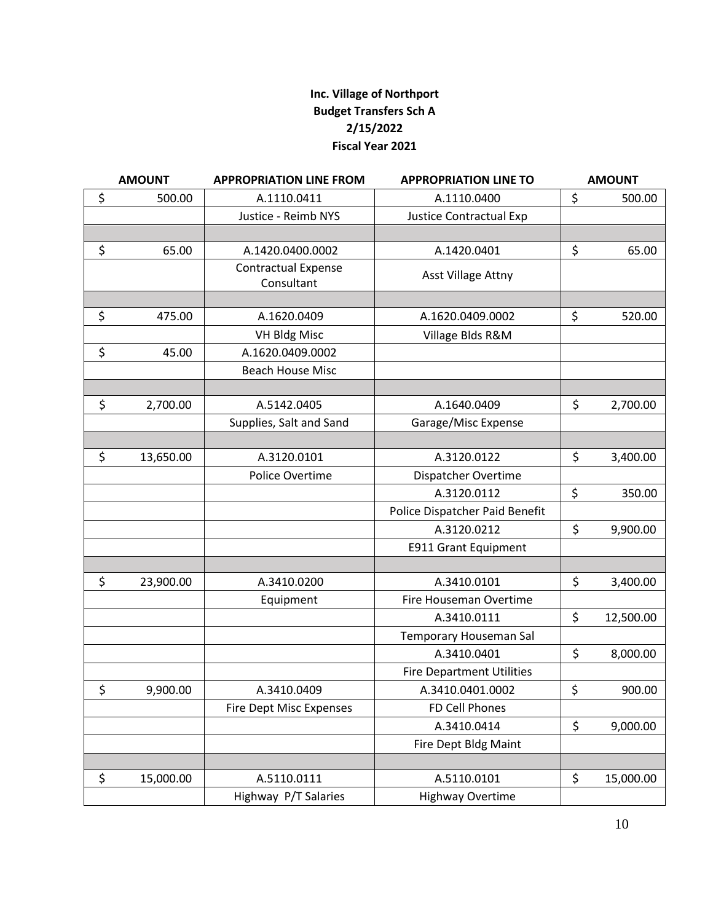## **Inc. Village of Northport Budget Transfers Sch A 2/15/2022 Fiscal Year 2021**

| <b>AMOUNT</b> |           | <b>APPROPRIATION LINE FROM</b>           | <b>APPROPRIATION LINE TO</b>     |    | <b>AMOUNT</b> |  |
|---------------|-----------|------------------------------------------|----------------------------------|----|---------------|--|
| \$            | 500.00    | A.1110.0411                              | A.1110.0400                      | \$ | 500.00        |  |
|               |           | Justice - Reimb NYS                      | <b>Justice Contractual Exp</b>   |    |               |  |
|               |           |                                          |                                  |    |               |  |
| \$            | 65.00     | A.1420.0400.0002                         | A.1420.0401                      | \$ | 65.00         |  |
|               |           | <b>Contractual Expense</b><br>Consultant | Asst Village Attny               |    |               |  |
|               |           |                                          |                                  |    |               |  |
| \$            | 475.00    | A.1620.0409                              | A.1620.0409.0002                 | \$ | 520.00        |  |
|               |           | <b>VH Bldg Misc</b>                      | Village Blds R&M                 |    |               |  |
| \$            | 45.00     | A.1620.0409.0002                         |                                  |    |               |  |
|               |           | <b>Beach House Misc</b>                  |                                  |    |               |  |
|               |           |                                          |                                  |    |               |  |
| \$            | 2,700.00  | A.5142.0405                              | A.1640.0409                      | \$ | 2,700.00      |  |
|               |           | Supplies, Salt and Sand                  | Garage/Misc Expense              |    |               |  |
|               |           |                                          |                                  |    |               |  |
| \$            | 13,650.00 | A.3120.0101                              | A.3120.0122                      | \$ | 3,400.00      |  |
|               |           | Police Overtime                          | Dispatcher Overtime              |    |               |  |
|               |           |                                          | A.3120.0112                      | \$ | 350.00        |  |
|               |           |                                          | Police Dispatcher Paid Benefit   |    |               |  |
|               |           |                                          | A.3120.0212                      | \$ | 9,900.00      |  |
|               |           |                                          | E911 Grant Equipment             |    |               |  |
|               |           |                                          |                                  |    |               |  |
| \$            | 23,900.00 | A.3410.0200                              | A.3410.0101                      | \$ | 3,400.00      |  |
|               |           | Equipment                                | Fire Houseman Overtime           |    |               |  |
|               |           |                                          | A.3410.0111                      | \$ | 12,500.00     |  |
|               |           |                                          | Temporary Houseman Sal           |    |               |  |
|               |           |                                          | A.3410.0401                      | \$ | 8,000.00      |  |
|               |           |                                          | <b>Fire Department Utilities</b> |    |               |  |
| \$            | 9,900.00  | A.3410.0409                              | A.3410.0401.0002                 | \$ | 900.00        |  |
|               |           | <b>Fire Dept Misc Expenses</b>           | FD Cell Phones                   |    |               |  |
|               |           |                                          | A.3410.0414                      | \$ | 9,000.00      |  |
|               |           |                                          | Fire Dept Bldg Maint             |    |               |  |
|               |           |                                          |                                  |    |               |  |
| \$            | 15,000.00 | A.5110.0111                              | A.5110.0101                      | \$ | 15,000.00     |  |
|               |           | Highway P/T Salaries                     | <b>Highway Overtime</b>          |    |               |  |